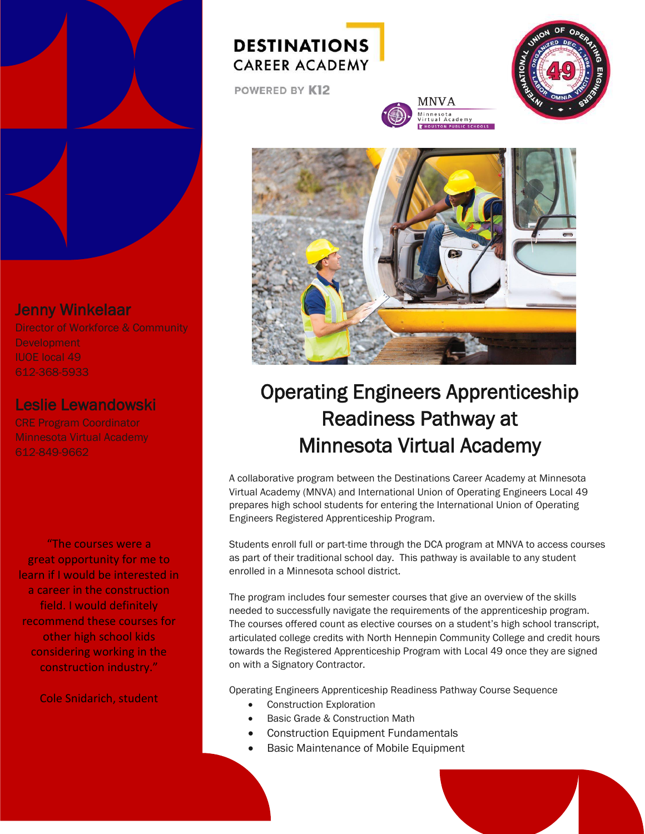

### Jenny Winkelaar

Director of Workforce & Community Development IUOE local 49 612-368-5933

#### Leslie Lewandowski

CRE Program Coordinator Minnesota Virtual Academy 612-849-9662

"The courses were a great opportunity for me to learn if I would be interested in a career in the construction field. I would definitely recommend these courses for other high school kids considering working in the construction industry."

Cole Snidarich, student

## **DESTINATIONS CAREER ACADEMY**

POWERED BY K12



iota<br>| Academy<br>|омривы с sснооцs





# Operating Engineers Apprenticeship Readiness Pathway at Minnesota Virtual Academy

A collaborative program between the Destinations Career Academy at Minnesota Virtual Academy (MNVA) and International Union of Operating Engineers Local 49 prepares high school students for entering the International Union of Operating Engineers Registered Apprenticeship Program.

Students enroll full or part-time through the DCA program at MNVA to access courses as part of their traditional school day. This pathway is available to any student enrolled in a Minnesota school district.

The program includes four semester courses that give an overview of the skills needed to successfully navigate the requirements of the apprenticeship program. The courses offered count as elective courses on a student's high school transcript, articulated college credits with North Hennepin Community College and credit hours towards the Registered Apprenticeship Program with Local 49 once they are signed on with a Signatory Contractor.

Operating Engineers Apprenticeship Readiness Pathway Course Sequence

- Construction Exploration
- Basic Grade & Construction Math
- Construction Equipment Fundamentals
- Basic Maintenance of Mobile Equipment